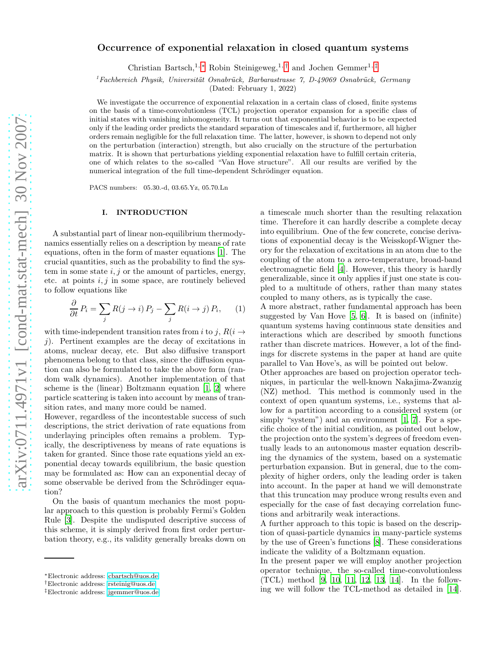# Occurrence of exponential relaxation in closed quantum systems

Christian Bartsch,<sup>1, [∗](#page-0-0)</sup> Robin Steinigeweg,<sup>1,[†](#page-0-1)</sup> and Jochen Gemmer<sup>1,[‡](#page-0-2)</sup>

 $1$ Fachbereich Physik, Universität Osnabrück, Barbarastrasse 7, D-49069 Osnabrück, Germany

(Dated: February 1, 2022)

We investigate the occurrence of exponential relaxation in a certain class of closed, finite systems on the basis of a time-convolutionless (TCL) projection operator expansion for a specific class of initial states with vanishing inhomogeneity. It turns out that exponential behavior is to be expected only if the leading order predicts the standard separation of timescales and if, furthermore, all higher orders remain negligible for the full relaxation time. The latter, however, is shown to depend not only on the perturbation (interaction) strength, but also crucially on the structure of the perturbation matrix. It is shown that perturbations yielding exponential relaxation have to fulfill certain criteria, one of which relates to the so-called "Van Hove structure". All our results are verified by the numerical integration of the full time-dependent Schrödinger equation.

PACS numbers: 05.30.-d, 03.65.Yz, 05.70.Ln

## I. INTRODUCTION

A substantial part of linear non-equilibrium thermodynamics essentially relies on a description by means of rate equations, often in the form of master equations [\[1](#page-8-0)]. The crucial quantities, such as the probability to find the system in some state  $i, j$  or the amount of particles, energy, etc. at points  $i, j$  in some space, are routinely believed to follow equations like

<span id="page-0-3"></span>
$$
\frac{\partial}{\partial t} P_i = \sum_j R(j \to i) P_j - \sum_j R(i \to j) P_i, \qquad (1)
$$

with time-independent transition rates from i to j,  $R(i \rightarrow$ j). Pertinent examples are the decay of excitations in atoms, nuclear decay, etc. But also diffusive transport phenomena belong to that class, since the diffusion equation can also be formulated to take the above form (random walk dynamics). Another implementation of that scheme is the (linear) Boltzmann equation [\[1,](#page-8-0) [2\]](#page-8-1) where particle scattering is taken into account by means of transition rates, and many more could be named.

However, regardless of the incontestable success of such descriptions, the strict derivation of rate equations from underlaying principles often remains a problem. Typically, the descriptiveness by means of rate equations is taken for granted. Since those rate equations yield an exponential decay towards equilibrium, the basic question may be formulated as: How can an exponential decay of some observable be derived from the Schrödinger equation?

On the basis of quantum mechanics the most popular approach to this question is probably Fermi's Golden Rule [\[3\]](#page-8-2). Despite the undisputed descriptive success of this scheme, it is simply derived from first order perturbation theory, e.g., its validity generally breaks down on

a timescale much shorter than the resulting relaxation time. Therefore it can hardly describe a complete decay into equilibrium. One of the few concrete, concise derivations of exponential decay is the Weisskopf-Wigner theory for the relaxation of excitations in an atom due to the coupling of the atom to a zero-temperature, broad-band electromagnetic field [\[4](#page-8-3)]. However, this theory is hardly generalizable, since it only applies if just one state is coupled to a multitude of others, rather than many states coupled to many others, as is typically the case.

A more abstract, rather fundamental approach has been suggested by Van Hove [\[5,](#page-8-4) [6\]](#page-8-5). It is based on (infinite) quantum systems having continuous state densities and interactions which are described by smooth functions rather than discrete matrices. However, a lot of the findings for discrete systems in the paper at hand are quite parallel to Van Hove's, as will be pointed out below.

Other approaches are based on projection operator techniques, in particular the well-known Nakajima-Zwanzig (NZ) method. This method is commonly used in the context of open quantum systems, i.e., systems that allow for a partition according to a considered system (or simply "system") and an environment [\[1,](#page-8-0) [7\]](#page-8-6). For a specific choice of the initial condition, as pointed out below, the projection onto the system's degrees of freedom eventually leads to an autonomous master equation describing the dynamics of the system, based on a systematic perturbation expansion. But in general, due to the complexity of higher orders, only the leading order is taken into account. In the paper at hand we will demonstrate that this truncation may produce wrong results even and especially for the case of fast decaying correlation functions and arbitrarily weak interactions.

A further approach to this topic is based on the description of quasi-particle dynamics in many-particle systems by the use of Green's functions [\[8\]](#page-8-7). These considerations indicate the validity of a Boltzmann equation.

In the present paper we will employ another projection operator technique, the so-called time-convolutionless (TCL) method [\[9,](#page-8-8) [10,](#page-8-9) [11,](#page-8-10) [12,](#page-8-11) [13,](#page-8-12) [14\]](#page-8-13). In the following we will follow the TCL-method as detailed in [\[14\]](#page-8-13).

<span id="page-0-0"></span><sup>∗</sup>Electronic address: [cbartsch@uos.de](mailto:cbartsch@uos.de)

<span id="page-0-1"></span><sup>†</sup>Electronic address: [rsteinig@uos.de](mailto:rsteinig@uos.de)

<span id="page-0-2"></span><sup>‡</sup>Electronic address: [jgemmer@uos.de](mailto:jgemmer@uos.de)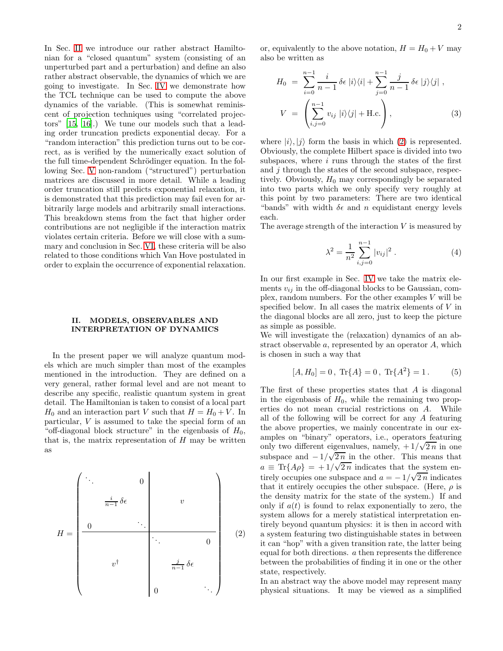In Sec. [II](#page-1-0) we introduce our rather abstract Hamiltonian for a "closed quantum" system (consisting of an unperturbed part and a perturbation) and define an also rather abstract observable, the dynamics of which we are going to investigate. In Sec. [IV](#page-3-0) we demonstrate how the TCL technique can be used to compute the above dynamics of the variable. (This is somewhat reminiscent of projection techniques using "correlated projectors" [\[15,](#page-8-14) [16](#page-8-15)].) We tune our models such that a leading order truncation predicts exponential decay. For a "random interaction" this prediction turns out to be correct, as is verified by the numerically exact solution of the full time-dependent Schrödinger equation. In the following Sec. [V](#page-3-1) non-random ("structured") perturbation matrices are discussed in more detail. While a leading order truncation still predicts exponential relaxation, it is demonstrated that this prediction may fail even for arbitrarily large models and arbitrarily small interactions. This breakdown stems from the fact that higher order contributions are not negligible if the interaction matrix violates certain criteria. Before we will close with a summary and conclusion in Sec. [VI,](#page-7-0) these criteria will be also related to those conditions which Van Hove postulated in order to explain the occurrence of exponential relaxation.

### <span id="page-1-0"></span>II. MODELS, OBSERVABLES AND INTERPRETATION OF DYNAMICS

In the present paper we will analyze quantum models which are much simpler than most of the examples mentioned in the introduction. They are defined on a very general, rather formal level and are not meant to describe any specific, realistic quantum system in great detail. The Hamiltonian is taken to consist of a local part  $H_0$  and an interaction part V such that  $H = H_0 + V$ . In particular, V is assumed to take the special form of an "off-diagonal block structure" in the eigenbasis of  $H_0$ , that is, the matrix representation of  $H$  may be written as

<span id="page-1-1"></span>
$$
H = \begin{pmatrix} \ddots & & & & 0 \\ & \ddots & & & & \\ & & \frac{i}{n-1} \delta \epsilon & & & \\ 0 & & \ddots & & \\ & & \ddots & & & \\ & & v^{\dagger} & & \\ & & & & \frac{j}{n-1} \delta \epsilon \\ & & & & & 0 \\ 0 & & & & & \ddots \end{pmatrix}
$$
 (2)

or, equivalently to the above notation,  $H = H_0 + V$  may also be written as

$$
H_0 = \sum_{i=0}^{n-1} \frac{i}{n-1} \delta \epsilon |i\rangle\langle i| + \sum_{j=0}^{n-1} \frac{j}{n-1} \delta \epsilon |j\rangle\langle j|,
$$
  

$$
V = \left(\sum_{i,j=0}^{n-1} v_{ij} |i\rangle\langle j| + \text{H.c.}\right),
$$
 (3)

where  $|i\rangle, |j\rangle$  form the basis in which [\(2\)](#page-1-1) is represented. Obviously, the complete Hilbert space is divided into two subspaces, where  $i$  runs through the states of the first and  $j$  through the states of the second subspace, respectively. Obviously,  $H_0$  may correspondingly be separated into two parts which we only specify very roughly at this point by two parameters: There are two identical "bands" with width  $\delta \epsilon$  and n equidistant energy levels each.

The average strength of the interaction  $V$  is measured by

$$
\lambda^2 = \frac{1}{n^2} \sum_{i,j=0}^{n-1} |v_{ij}|^2 . \tag{4}
$$

In our first example in Sec. [IV](#page-3-0) we take the matrix elements  $v_{ij}$  in the off-diagonal blocks to be Gaussian, complex, random numbers. For the other examples  $V$  will be specified below. In all cases the matrix elements of  $V$  in the diagonal blocks are all zero, just to keep the picture as simple as possible.

We will investigate the (relaxation) dynamics of an abstract observable a, represented by an operator A, which is chosen in such a way that

$$
[A, H_0] = 0, \text{ Tr}\{A\} = 0, \text{ Tr}\{A^2\} = 1.
$$
 (5)

The first of these properties states that A is diagonal in the eigenbasis of  $H_0$ , while the remaining two properties do not mean crucial restrictions on A. While all of the following will be correct for any A featuring the above properties, we mainly concentrate in our examples on "binary" operators, i.e., operators featuring only two different eigenvalues, namely,  $+1/\sqrt{2n}$  in one subspace and  $-1/\sqrt{2n}$  in the other. This means that  $a \equiv \text{Tr}{A\rho} = +1/\sqrt{2n}$  indicates that the system entirely occupies one subspace and  $a = -1/\sqrt{2n}$  indicates that it entirely occupies the other subspace. (Here,  $\rho$  is the density matrix for the state of the system.) If and only if  $a(t)$  is found to relax exponentially to zero, the system allows for a merely statistical interpretation entirely beyond quantum physics: it is then in accord with a system featuring two distinguishable states in between it can "hop" with a given transition rate, the latter being equal for both directions. a then represents the difference between the probabilities of finding it in one or the other state, respectively.

In an abstract way the above model may represent many physical situations. It may be viewed as a simplified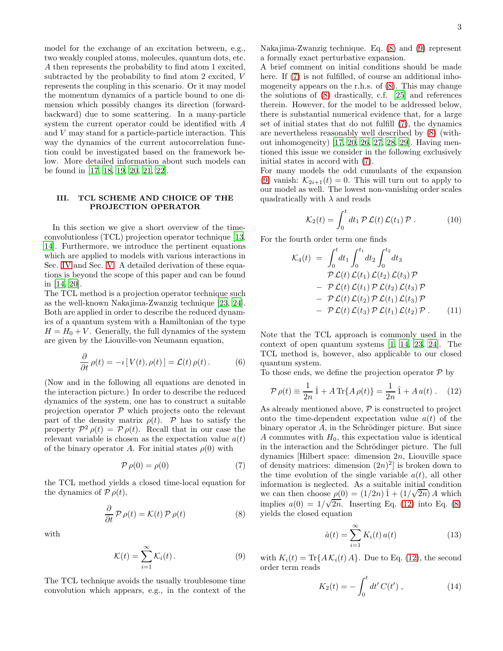model for the exchange of an excitation between, e.g., two weakly coupled atoms, molecules, quantum dots, etc. A then represents the probability to find atom 1 excited, subtracted by the probability to find atom 2 excited, V represents the coupling in this scenario. Or it may model the momentum dynamics of a particle bound to one dimension which possibly changes its direction (forwardbackward) due to some scattering. In a many-particle system the current operator could be identified with A and V may stand for a particle-particle interaction. This way the dynamics of the current autocorrelation function could be investigated based on the framework below. More detailed information about such models can be found in [\[17,](#page-8-16) [18,](#page-8-17) [19,](#page-8-18) [20,](#page-8-19) [21](#page-8-20), [22](#page-8-21)].

### III. TCL SCHEME AND CHOICE OF THE PROJECTION OPERATOR

In this section we give a short overview of the timeconvolutionless (TCL) projection operator technique [\[13](#page-8-12), [14\]](#page-8-13). Furthermore, we introduce the pertinent equations which are applied to models with various interactions in Sec. [IV](#page-3-0) and Sec. [V.](#page-3-1) A detailed derivation of these equations is beyond the scope of this paper and can be found in [\[14](#page-8-13), [20\]](#page-8-19).

The TCL method is a projection operator technique such as the well-known Nakajima-Zwanzig technique [\[23](#page-8-22), [24\]](#page-8-23). Both are applied in order to describe the reduced dynamics of a quantum system with a Hamiltonian of the type  $H = H_0 + V$ . Generally, the full dynamics of the system are given by the Liouville-von Neumann equation,

$$
\frac{\partial}{\partial t} \rho(t) = -i [V(t), \rho(t)] = \mathcal{L}(t) \rho(t).
$$
 (6)

(Now and in the following all equations are denoted in the interaction picture.) In order to describe the reduced dynamics of the system, one has to construct a suitable projection operator  $P$  which projects onto the relevant part of the density matrix  $\rho(t)$ . P has to satisfy the property  $P^2 \rho(t) = P \rho(t)$ . Recall that in our case the relevant variable is chosen as the expectation value  $a(t)$ of the binary operator A. For initial states  $\rho(0)$  with

<span id="page-2-2"></span>
$$
\mathcal{P}\,\rho(0) = \rho(0) \tag{7}
$$

the TCL method yields a closed time-local equation for the dynamics of  $\mathcal{P} \rho(t)$ ,

<span id="page-2-0"></span>
$$
\frac{\partial}{\partial t} \mathcal{P} \rho(t) = \mathcal{K}(t) \mathcal{P} \rho(t)
$$
\n(8)

with

<span id="page-2-1"></span>
$$
\mathcal{K}(t) = \sum_{i=1}^{\infty} \mathcal{K}_i(t).
$$
 (9)

The TCL technique avoids the usually troublesome time convolution which appears, e.g., in the context of the Nakajima-Zwanzig technique. Eq. [\(8\)](#page-2-0) and [\(9\)](#page-2-1) represent a formally exact perturbative expansion.

A brief comment on initial conditions should be made here. If  $(7)$  is not fulfilled, of course an additional inhomogeneity appears on the r.h.s. of [\(8\)](#page-2-0). This may change the solutions of [\(8\)](#page-2-0) drastically, c.f. [\[25](#page-8-24)] and references therein. However, for the model to be addressed below, there is substantial numerical evidence that, for a large set of initial states that do not fulfill [\(7\)](#page-2-2), the dynamics are nevertheless reasonably well described by [\(8\)](#page-2-0) (without inhomogeneity) [\[17](#page-8-16), [20](#page-8-19), [26](#page-8-25), [27,](#page-8-26) [28,](#page-8-27) [29\]](#page-8-28). Having mentioned this issue we consider in the following exclusively initial states in accord with [\(7\)](#page-2-2).

For many models the odd cumulants of the expansion [\(9\)](#page-2-1) vanish:  $\mathcal{K}_{2i+1}(t) = 0$ . This will turn out to apply to our model as well. The lowest non-vanishing order scales quadratically with  $\lambda$  and reads

$$
\mathcal{K}_2(t) = \int_0^t dt_1 \, \mathcal{P} \, \mathcal{L}(t) \, \mathcal{L}(t_1) \, \mathcal{P} \, . \tag{10}
$$

For the fourth order term one finds

$$
\mathcal{K}_4(t) = \int_0^t dt_1 \int_0^{t_1} dt_2 \int_0^{t_2} dt_3
$$
  
\n
$$
\mathcal{P} \mathcal{L}(t) \mathcal{L}(t_1) \mathcal{L}(t_2) \mathcal{L}(t_3) \mathcal{P}
$$
  
\n
$$
- \mathcal{P} \mathcal{L}(t) \mathcal{L}(t_1) \mathcal{P} \mathcal{L}(t_2) \mathcal{L}(t_3) \mathcal{P}
$$
  
\n
$$
- \mathcal{P} \mathcal{L}(t) \mathcal{L}(t_2) \mathcal{P} \mathcal{L}(t_1) \mathcal{L}(t_3) \mathcal{P}
$$
  
\n
$$
- \mathcal{P} \mathcal{L}(t) \mathcal{L}(t_3) \mathcal{P} \mathcal{L}(t_1) \mathcal{L}(t_2) \mathcal{P}.
$$
 (11)

Note that the TCL approach is commonly used in the context of open quantum systems [\[1,](#page-8-0) [14](#page-8-13), [23,](#page-8-22) [24\]](#page-8-23). The TCL method is, however, also applicable to our closed quantum system.

To those ends, we define the projection operator  $\mathcal{P}$  by

<span id="page-2-3"></span>
$$
\mathcal{P}\,\rho(t) \equiv \frac{1}{2n}\,\hat{1} + A\,\text{Tr}\{A\,\rho(t)\} = \frac{1}{2n}\,\hat{1} + A\,a(t) \,. \tag{12}
$$

As already mentioned above,  $P$  is constructed to project onto the time-dependent expectation value  $a(t)$  of the binary operator  $A$ , in the Schrödinger picture. But since A commutes with  $H_0$ , this expectation value is identical in the interaction and the Schrödinger picture. The full dynamics [Hilbert space: dimension 2n, Liouville space of density matrices: dimension  $(2n)^2$  is broken down to the time evolution of the single variable  $a(t)$ , all other information is neglected. As a suitable initial condition we can then choose  $\rho(0) = (1/2n)\hat{1} + (1/\sqrt{2n})A$  which implies  $a(0) = 1/\sqrt{2n}$ . Inserting Eq. [\(12\)](#page-2-3) into Eq. [\(8\)](#page-2-0) yields the closed equation

<span id="page-2-4"></span>
$$
\dot{a}(t) = \sum_{i=1}^{\infty} K_i(t) a(t) \tag{13}
$$

with  $K_i(t) = \text{Tr}\{A\mathcal{K}_i(t) A\}$ . Due to Eq. [\(12\)](#page-2-3), the second order term reads

$$
K_2(t) = -\int_0^t dt' C(t'), \qquad (14)
$$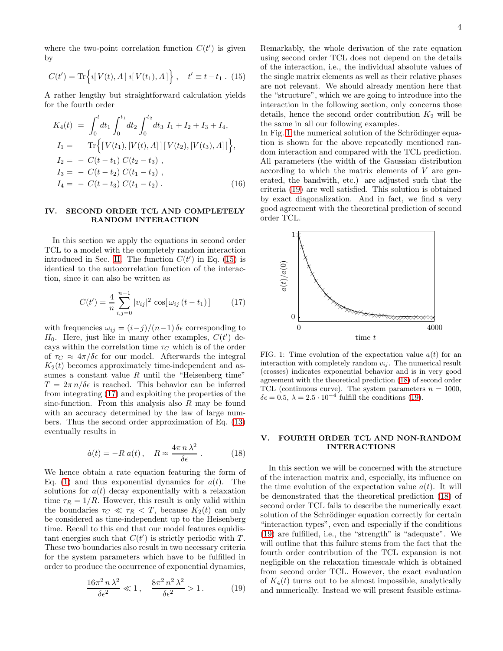where the two-point correlation function  $C(t')$  is given by

<span id="page-3-2"></span>
$$
C(t') = \text{Tr}\left\{i[V(t), A] i[V(t_1), A]\right\}, \quad t' \equiv t - t_1. (15)
$$

A rather lengthy but straightforward calculation yields for the fourth order

<span id="page-3-7"></span>
$$
K_4(t) = \int_0^t dt_1 \int_0^{t_1} dt_2 \int_0^{t_2} dt_3 I_1 + I_2 + I_3 + I_4,
$$
  
\n
$$
I_1 = \text{Tr}\Big\{ [V(t_1), [V(t), A]] [V(t_2), [V(t_3), A]] \Big\},
$$
  
\n
$$
I_2 = -C(t - t_1) C(t_2 - t_3),
$$
  
\n
$$
I_3 = -C(t - t_2) C(t_1 - t_3),
$$
  
\n
$$
I_4 = -C(t - t_3) C(t_1 - t_2).
$$
\n(16)

### <span id="page-3-0"></span>IV. SECOND ORDER TCL AND COMPLETELY RANDOM INTERACTION

In this section we apply the equations in second order TCL to a model with the completely random interaction introduced in Sec. [II.](#page-1-0) The function  $C(t')$  in Eq. [\(15\)](#page-3-2) is identical to the autocorrelation function of the interaction, since it can also be written as

<span id="page-3-3"></span>
$$
C(t') = \frac{4}{n} \sum_{i,j=0}^{n-1} |v_{ij}|^2 \cos[\omega_{ij} (t - t_1)]
$$
   
 PSTrag replace (17)

with frequencies  $\omega_{ij} = (i-j)/(n-1) \delta \epsilon$  corresponding to  $H_0$ . Here, just like in many other examples,  $C(t')$  decays within the correlation time  $\tau_C$  which is of the order of  $\tau_C \approx 4\pi/\delta\epsilon$  for our model. Afterwards the integral  $K_2(t)$  becomes approximately time-independent and assumes a constant value  $R$  until the "Heisenberg time"  $T = 2\pi n/\delta\epsilon$  is reached. This behavior can be inferred from integrating [\(17\)](#page-3-3) and exploiting the properties of the sinc-function. From this analysis also  $R$  may be found with an accuracy determined by the law of large numbers. Thus the second order approximation of Eq. [\(13\)](#page-2-4) eventually results in

<span id="page-3-6"></span>
$$
\dot{a}(t) = -R a(t), \quad R \approx \frac{4\pi n \lambda^2}{\delta \epsilon} \,. \tag{18}
$$

We hence obtain a rate equation featuring the form of Eq. [\(1\)](#page-0-3) and thus exponential dynamics for  $a(t)$ . The solutions for  $a(t)$  decay exponentially with a relaxation time  $\tau_R = 1/R$ . However, this result is only valid within the boundaries  $\tau_C \ll \tau_R < T$ , because  $K_2(t)$  can only be considered as time-independent up to the Heisenberg time. Recall to this end that our model features equidistant energies such that  $C(t')$  is strictly periodic with T. These two boundaries also result in two necessary criteria for the system parameters which have to be fulfilled in order to produce the occurrence of exponential dynamics,

<span id="page-3-5"></span>
$$
\frac{16\pi^2 n \lambda^2}{\delta \epsilon^2} \ll 1, \quad \frac{8\pi^2 n^2 \lambda^2}{\delta \epsilon^2} > 1.
$$
 (19)

Remarkably, the whole derivation of the rate equation using second order TCL does not depend on the details of the interaction, i.e., the individual absolute values of the single matrix elements as well as their relative phases are not relevant. We should already mention here that the "structure", which we are going to introduce into the interaction in the following section, only concerns those details, hence the second order contribution  $K_2$  will be the same in all our following examples.

In Fig. [1](#page-3-4) the numerical solution of the Schrödinger equation is shown for the above repeatedly mentioned random interaction and compared with the TCL prediction. All parameters (the width of the Gaussian distribution according to which the matrix elements of V are generated, the bandwith, etc.) are adjusted such that the criteria [\(19\)](#page-3-5) are well satisfied. This solution is obtained by exact diagonalization. And in fact, we find a very good agreement with the theoretical prediction of second order TCL.



<span id="page-3-4"></span>FIG. 1: Time evolution of the expectation value  $a(t)$  for an interaction with completely random  $v_{ij}$ . The numerical result (crosses) indicates exponential behavior and is in very good agreement with the theoretical prediction [\(18\)](#page-3-6) of second order TCL (continuous curve). The system parameters  $n = 1000$ ,  $\delta \epsilon = 0.5, \ \lambda = 2.5 \cdot 10^{-4}$  fulfill the conditions [\(19\)](#page-3-5).

## <span id="page-3-1"></span>V. FOURTH ORDER TCL AND NON-RANDOM INTERACTIONS

In this section we will be concerned with the structure of the interaction matrix and, especially, its influence on the time evolution of the expectation value  $a(t)$ . It will be demonstrated that the theoretical prediction [\(18\)](#page-3-6) of second order TCL fails to describe the numerically exact solution of the Schrödinger equation correctly for certain "interaction types", even and especially if the conditions [\(19\)](#page-3-5) are fulfilled, i.e., the "strength" is "adequate". We will outline that this failure stems from the fact that the fourth order contribution of the TCL expansion is not negligible on the relaxation timescale which is obtained from second order TCL. However, the exact evaluation of  $K_4(t)$  turns out to be almost impossible, analytically and numerically. Instead we will present feasible estima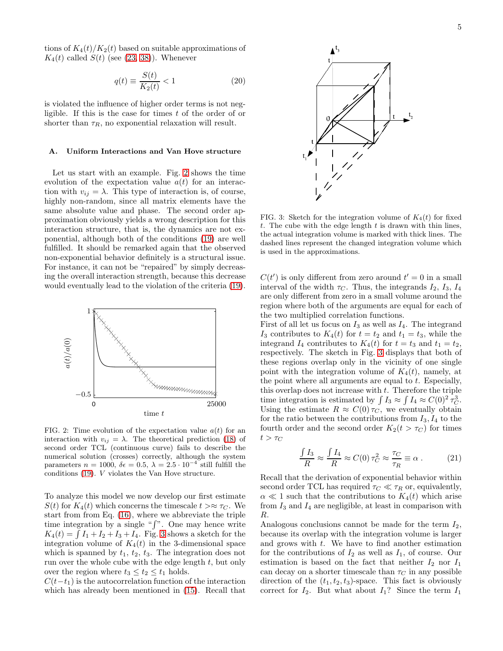tions of  $K_4(t)/K_2(t)$  based on suitable approximations of  $K_4(t)$  called  $S(t)$  (see [\(23,](#page-5-0) [38\)](#page-7-1)). Whenever

<span id="page-4-2"></span>
$$
q(t) \equiv \frac{S(t)}{K_2(t)} < 1\tag{20}
$$

is violated the influence of higher order terms is not negligible. If this is the case for times  $t$  of the order of or shorter than  $\tau_R$ , no exponential relaxation will result.

#### A. Uniform Interactions and Van Hove structure

Let us start with an example. Fig. [2](#page-4-0) shows the time evolution of the expectation value  $a(t)$  for an interaction with  $v_{ij} = \lambda$ . This type of interaction is, of course, highly non-random, since all matrix elements have the same absolute value and phase. The second order approximation obviously yields a wrong description for this interaction structure, that is, the dynamics are not exponential, although both of the conditions [\(19\)](#page-3-5) are well fulfilled. It should be remarked again that the observed non-exponential behavior definitely is a structural issue. For instance, it can not be "repaired" by simply decreasing the overall interaction strength, because this decrease would eventually lead to the violation of the criteria [\(19\)](#page-3-5).



<span id="page-4-0"></span>FIG. 2: Time evolution of the expectation value  $a(t)$  for an interaction with  $v_{ij} = \lambda$ . The theoretical prediction [\(18\)](#page-3-6) of second order TCL (continuous curve) fails to describe the numerical solution (crosses) correctly, although the system parameters  $n = 1000$ ,  $\delta \epsilon = 0.5$ ,  $\lambda = 2.5 \cdot 10^{-4}$  still fulfill the conditions [\(19\)](#page-3-5). V violates the Van Hove structure.

To analyze this model we now develop our first estimate  $S(t)$  for  $K_4(t)$  which concerns the timescale  $t > \approx \tau_C$ . We start from from Eq. [\(16\)](#page-3-7), where we abbreviate the triple time integration by a single " $\int$ ". One may hence write  $K_4(t) = \int I_1 + I_2 + I_3 + I_4$ . Fig. [3](#page-4-1) shows a sketch for the integration volume of  $K_4(t)$  in the 3-dimensional space which is spanned by  $t_1$ ,  $t_2$ ,  $t_3$ . The integration does not run over the whole cube with the edge length  $t$ , but only over the region where  $t_3 \leq t_2 \leq t_1$  holds.

 $C(t-t_1)$  is the autocorrelation function of the interaction which has already been mentioned in [\(15\)](#page-3-2). Recall that



<span id="page-4-1"></span>FIG. 3: Sketch for the integration volume of  $K_4(t)$  for fixed t. The cube with the edge length  $t$  is drawn with thin lines, the actual integration volume is marked with thick lines. The dashed lines represent the changed integration volume which is used in the approximations.

 $C(t')$  is only different from zero around  $t' = 0$  in a small interval of the width  $\tau_C$ . Thus, the integrands  $I_2$ ,  $I_3$ ,  $I_4$ are only different from zero in a small volume around the region where both of the arguments are equal for each of the two multiplied correlation functions.

First of all let us focus on  $I_3$  as well as  $I_4$ . The integrand  $I_3$  contributes to  $K_4(t)$  for  $t = t_2$  and  $t_1 = t_3$ , while the integrand  $I_4$  contributes to  $K_4(t)$  for  $t = t_3$  and  $t_1 = t_2$ , respectively. The sketch in Fig. [3](#page-4-1) displays that both of these regions overlap only in the vicinity of one single point with the integration volume of  $K_4(t)$ , namely, at the point where all arguments are equal to  $t$ . Especially, this overlap does not increase with  $t$ . Therefore the triple time integration is estimated by  $\int I_3 \approx \int I_4 \approx C(0)^2 \tau_C^3$ . Using the estimate  $R \approx C(0) \tau_C$ , we eventually obtain for the ratio between the contributions from  $I_3$ ,  $I_4$  to the fourth order and the second order  $K_2(t > \tau_C)$  for times  $t > \tau_C$ 

$$
\frac{\int I_3}{R} \approx \frac{\int I_4}{R} \approx C(0) \tau_C^2 \approx \frac{\tau_C}{\tau_R} \equiv \alpha \ . \tag{21}
$$

Recall that the derivation of exponential behavior within second order TCL has required  $\tau_C \ll \tau_R$  or, equivalently,  $\alpha \ll 1$  such that the contributions to  $K_4(t)$  which arise from  $I_3$  and  $I_4$  are negligible, at least in comparison with R.

Analogous conclusions cannot be made for the term  $I_2$ , because its overlap with the integration volume is larger and grows with t. We have to find another estimation for the contributions of  $I_2$  as well as  $I_1$ , of course. Our estimation is based on the fact that neither  $I_2$  nor  $I_1$ can decay on a shorter timescale than  $\tau_C$  in any possible direction of the  $(t_1, t_2, t_3)$ -space. This fact is obviously correct for  $I_2$ . But what about  $I_1$ ? Since the term  $I_1$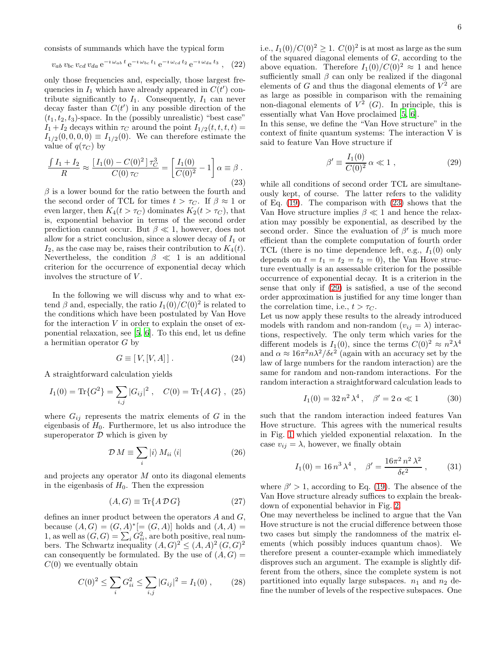consists of summands which have the typical form

$$
v_{ab} v_{bc} v_{cd} v_{da} e^{-i \omega_{ab} t} e^{-i \omega_{bc} t_1} e^{-i \omega_{cd} t_2} e^{-i \omega_{da} t_3}, \quad (22)
$$

only those frequencies and, especially, those largest frequencies in  $I_1$  which have already appeared in  $C(t')$  contribute significantly to  $I_1$ . Consequently,  $I_1$  can never decay faster than  $C(t')$  in any possible direction of the  $(t_1, t_2, t_3)$ -space. In the (possibly unrealistic) "best case"  $I_1 + I_2$  decays within  $\tau_C$  around the point  $I_{1/2}(t, t, t, t) =$  $I_{1/2}(0, 0, 0, 0) \equiv I_{1/2}(0)$ . We can therefore estimate the value of  $q(\tau_C)$  by

<span id="page-5-0"></span>
$$
\frac{\int I_1 + I_2}{R} \approx \frac{\left[ I_1(0) - C(0)^2 \right] \tau_C^3}{C(0) \tau_C} = \left[ \frac{I_1(0)}{C(0)^2} - 1 \right] \alpha \equiv \beta . \tag{23}
$$

 $\beta$  is a lower bound for the ratio between the fourth and the second order of TCL for times  $t > \tau_C$ . If  $\beta \approx 1$  or even larger, then  $K_4(t > \tau_C)$  dominates  $K_2(t > \tau_C)$ , that is, exponential behavior in terms of the second order prediction cannot occur. But  $\beta \ll 1$ , however, does not allow for a strict conclusion, since a slower decay of  $I_1$  or  $I_2$ , as the case may be, raises their contribution to  $K_4(t)$ . Nevertheless, the condition  $\beta \ll 1$  is an additional criterion for the occurrence of exponential decay which involves the structure of V .

In the following we will discuss why and to what extend  $\beta$  and, especially, the ratio  $I_1(0)/C(0)^2$  is related to the conditions which have been postulated by Van Hove for the interaction  $V$  in order to explain the onset of exponential relaxation, see [\[5,](#page-8-4) [6\]](#page-8-5). To this end, let us define a hermitian operator  $G$  by

$$
G \equiv [V, [V, A]] \,. \tag{24}
$$

A straightforward calculation yields

$$
I_1(0) = \text{Tr}\{G^2\} = \sum_{i,j} |G_{ij}|^2 , \quad C(0) = \text{Tr}\{AG\} , \tag{25}
$$

where  $G_{ij}$  represents the matrix elements of G in the eigenbasis of  $H_0$ . Furthermore, let us also introduce the superoperator  $D$  which is given by

$$
\mathcal{D}M \equiv \sum_{i} |i\rangle M_{ii} \langle i| \tag{26}
$$

and projects any operator  $M$  onto its diagonal elements in the eigenbasis of  $H_0$ . Then the expression

$$
(A, G) \equiv \text{Tr}\{A \, \mathcal{D} \, G\} \tag{27}
$$

defines an inner product between the operators A and G, because  $(A, G) = (G, A)^* [ = (G, A)]$  holds and  $(A, A) =$ 1, as well as  $(G, G) = \sum_i G_{ii}^2$ , are both positive, real numbers. The Schwartz inequality  $(A, G)^2 \le (A, A)^2 (G, G)^2$ can consequently be formulated. By the use of  $(A, G)$  =  $C(0)$  we eventually obtain

$$
C(0)^{2} \le \sum_{i} G_{ii}^{2} \le \sum_{i,j} |G_{ij}|^{2} = I_{1}(0) , \qquad (28)
$$

i.e.,  $I_1(0)/C(0)^2 \geq 1$ .  $C(0)^2$  is at most as large as the sum of the squared diagonal elements of  $G$ , according to the above equation. Therefore  $I_1(0)/C(0)^2 \approx 1$  and hence sufficiently small  $\beta$  can only be realized if the diagonal elements of  $G$  and thus the diagonal elements of  $V^2$  are as large as possible in comparison with the remaining non-diagonal elements of  $V^2$  (G). In principle, this is essentially what Van Hove proclaimed [\[5](#page-8-4), [6](#page-8-5)].

In this sense, we define the "Van Hove structure" in the context of finite quantum systems: The interaction V is said to feature Van Hove structure if

<span id="page-5-1"></span>
$$
\beta' \equiv \frac{I_1(0)}{C(0)^2} \, \alpha \ll 1 \;, \tag{29}
$$

while all conditions of second order TCL are simultaneously kept, of course. The latter refers to the validity of Eq. [\(19\)](#page-3-5). The comparison with [\(23\)](#page-5-0) shows that the Van Hove structure implies  $\beta \ll 1$  and hence the relaxation may possibly be exponential, as described by the second order. Since the evaluation of  $\beta'$  is much more efficient than the complete computation of fourth order TCL (there is no time dependence left, e.g.,  $I_1(0)$  only depends on  $t = t_1 = t_2 = t_3 = 0$ , the Van Hove structure eventually is an assessable criterion for the possible occurrence of exponential decay. It is a criterion in the sense that only if [\(29\)](#page-5-1) is satisfied, a use of the second order approximation is justified for any time longer than the correlation time, i.e.,  $t > \tau_C$ .

Let us now apply these results to the already introduced models with random and non-random  $(v_{ij} = \lambda)$  interactions, respectively. The only term which varies for the different models is  $I_1(0)$ , since the terms  $C(0)^2 \approx n^2 \lambda^4$ and  $\alpha \approx 16\pi^2 n \lambda^2/\delta \epsilon^2$  (again with an accuracy set by the law of large numbers for the random interaction) are the same for random and non-random interactions. For the random interaction a straightforward calculation leads to

$$
I_1(0) = 32 n^2 \lambda^4 , \quad \beta' = 2 \alpha \ll 1 \tag{30}
$$

such that the random interaction indeed features Van Hove structure. This agrees with the numerical results in Fig. [1](#page-3-4) which yielded exponential relaxation. In the case  $v_{ij} = \lambda$ , however, we finally obtain

$$
I_1(0) = 16 n^3 \lambda^4 , \quad \beta' = \frac{16\pi^2 n^2 \lambda^2}{\delta \epsilon^2} , \quad (31)
$$

where  $\beta' > 1$ , according to Eq. [\(19\)](#page-3-5). The absence of the Van Hove structure already suffices to explain the breakdown of exponential behavior in Fig. [2.](#page-4-0)

One may nevertheless be inclined to argue that the Van Hove structure is not the crucial difference between those two cases but simply the randomness of the matrix elements (which possibly induces quantum chaos). We therefore present a counter-example which immediately disproves such an argument. The example is slightly different from the others, since the complete system is not partitioned into equally large subspaces.  $n_1$  and  $n_2$  define the number of levels of the respective subspaces. One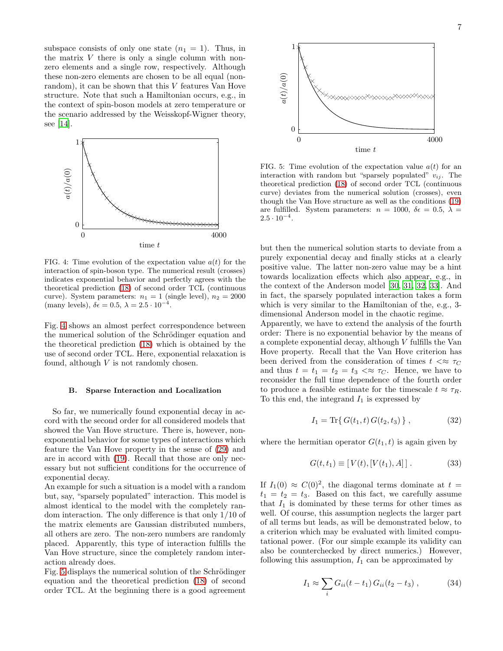subspace consists of only one state  $(n_1 = 1)$ . Thus, in the matrix  $V$  there is only a single column with nonzero elements and a single row, respectively. Although these non-zero elements are chosen to be all equal (nonrandom), it can be shown that this V features Van Hove structure. Note that such a Hamiltonian occurs, e.g., in the context of spin-boson models at zero temperature or experiencements the scenario addressed by the Weisskopf-Wigner theory, see [\[14\]](#page-8-13).



<span id="page-6-0"></span>FIG. 4: Time evolution of the expectation value  $a(t)$  for the interaction of spin-boson type. The numerical result (crosses) indicates exponential behavior and perfectly agrees with the theoretical prediction [\(18\)](#page-3-6) of second order TCL (continuous curve). System parameters:  $n_1 = 1$  (single level),  $n_2 = 2000$ (many levels),  $\delta \epsilon = 0.5$ ,  $\lambda = 2.5 \cdot 10^{-4}$ .

Fig. [4](#page-6-0) shows an almost perfect correspondence between the numerical solution of the Schrödinger equation and the theoretical prediction [\(18\)](#page-3-6) which is obtained by the use of second order TCL. Here, exponential relaxation is found, although  $V$  is not randomly chosen.

### B. Sparse Interaction and Localization

So far, we numerically found exponential decay in accord with the second order for all considered models that showed the Van Hove structure. There is, however, nonexponential behavior for some types of interactions which feature the Van Hove property in the sense of [\(29\)](#page-5-1) and are in accord with [\(19\)](#page-3-5). Recall that those are only necessary but not sufficient conditions for the occurrence of exponential decay.

An example for such a situation is a model with a random but, say, "sparsely populated" interaction. This model is almost identical to the model with the completely random interaction. The only difference is that only 1/10 of the matrix elements are Gaussian distributed numbers, all others are zero. The non-zero numbers are randomly placed. Apparently, this type of interaction fulfills the Van Hove structure, since the completely random interaction already does.

Fig. [5](#page-6-1) displays the numerical solution of the Schrödinger equation and the theoretical prediction [\(18\)](#page-3-6) of second order TCL. At the beginning there is a good agreement



<span id="page-6-1"></span>FIG. 5: Time evolution of the expectation value  $a(t)$  for an interaction with random but "sparsely populated"  $v_{ij}$ . The theoretical prediction [\(18\)](#page-3-6) of second order TCL (continuous curve) deviates from the numerical solution (crosses), even though the Van Hove structure as well as the conditions [\(19\)](#page-3-5) are fulfilled. System parameters:  $n = 1000$ ,  $\delta \epsilon = 0.5$ ,  $\lambda =$  $2.5 \cdot 10^{-4}$ .

but then the numerical solution starts to deviate from a purely exponential decay and finally sticks at a clearly positive value. The latter non-zero value may be a hint towards localization effects which also appear, e.g., in the context of the Anderson model [\[30](#page-8-29), [31](#page-8-30), [32,](#page-8-31) [33\]](#page-8-32). And in fact, the sparsely populated interaction takes a form which is very similar to the Hamiltonian of the, e.g., 3 dimensional Anderson model in the chaotic regime.

Apparently, we have to extend the analysis of the fourth order: There is no exponential behavior by the means of a complete exponential decay, although V fulfills the Van Hove property. Recall that the Van Hove criterion has been derived from the consideration of times  $t \ll \tau_C$ and thus  $t = t_1 = t_2 = t_3 \ll \tau_C$ . Hence, we have to reconsider the full time dependence of the fourth order to produce a feasible estimate for the timescale  $t \approx \tau_R$ . To this end, the integrand  $I_1$  is expressed by

$$
I_1 = \text{Tr}\{G(t_1, t) G(t_2, t_3)\},\tag{32}
$$

where the hermitian operator  $G(t_1, t)$  is again given by

$$
G(t, t_1) \equiv [V(t), [V(t_1), A]] \,. \tag{33}
$$

If  $I_1(0) \approx C(0)^2$ , the diagonal terms dominate at  $t =$  $t_1 = t_2 = t_3$ . Based on this fact, we carefully assume that  $I_1$  is dominated by these terms for other times as well. Of course, this assumption neglects the larger part of all terms but leads, as will be demonstrated below, to a criterion which may be evaluated with limited computational power. (For our simple example its validity can also be counterchecked by direct numerics.) However, following this assumption,  $I_1$  can be approximated by

$$
I_1 \approx \sum_i G_{ii}(t - t_1) G_{ii}(t_2 - t_3) , \qquad (34)
$$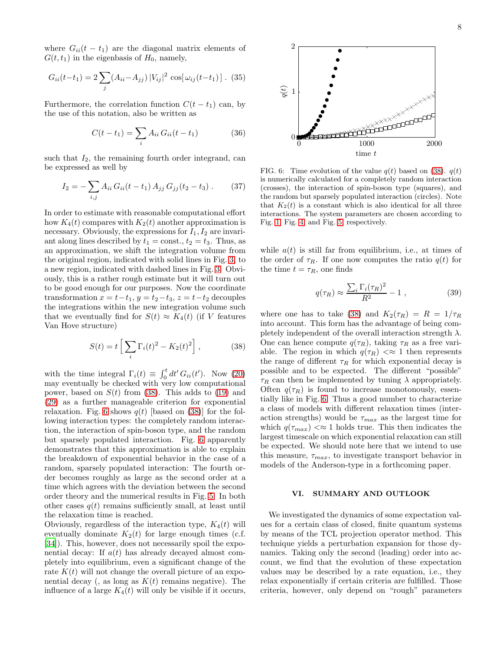where  $G_{ii}(t - t_1)$  are the diagonal matrix elements of  $G(t, t_1)$  in the eigenbasis of  $H_0$ , namely,

$$
G_{ii}(t-t_1) = 2\sum_{j} (A_{ii} - A_{jj}) |V_{ij}|^2 \cos[\omega_{ij}(t-t_1)]
$$
. (35)  
PSfrag replacements

Furthermore, the correlation function  $C(t - t_1)$  can, by the use of this notation, also be written as

$$
C(t - t_1) = \sum_{i} A_{ii} G_{ii}(t - t_1)
$$
 (36)

such that  $I_2$ , the remaining fourth order integrand, can be expressed as well by

$$
I_2 = -\sum_{i,j} A_{ii} G_{ii}(t - t_1) A_{jj} G_{jj}(t_2 - t_3).
$$
 (37)

In order to estimate with reasonable computational effort how  $K_4(t)$  compares with  $K_2(t)$  another approximation is necessary. Obviously, the expressions for  $I_1, I_2$  are invariant along lines described by  $t_1 = \text{const.}, t_2 = t_3$ . Thus, as an approximation, we shift the integration volume from the original region, indicated with solid lines in Fig. [3,](#page-4-1) to a new region, indicated with dashed lines in Fig. [3.](#page-4-1) Obviously, this is a rather rough estimate but it will turn out to be good enough for our purposes. Now the coordinate transformation  $x = t-t_1$ ,  $y = t_2-t_3$ ,  $z = t-t_2$  decouples the integrations within the new integration volume such that we eventually find for  $S(t) \approx K_4(t)$  (if V features Van Hove structure)

<span id="page-7-1"></span>
$$
S(t) = t \left[ \sum_{i} \Gamma_i(t)^2 - K_2(t)^2 \right], \qquad (38)
$$

with the time integral  $\Gamma_i(t) \equiv \int_0^t dt' G_{ii}(t')$ . Now [\(20\)](#page-4-2) may eventually be checked with very low computational power, based on  $S(t)$  from [\(38\)](#page-7-1). This adds to [\(19\)](#page-3-5) and [\(29\)](#page-5-1) as a further manageable criterion for exponential relaxation. Fig. [6](#page-7-2) shows  $q(t)$  [based on [\(38\)](#page-7-1)] for the following interaction types: the completely random interaction, the interaction of spin-boson type, and the random but sparsely populated interaction. Fig. [6](#page-7-2) apparently demonstrates that this approximation is able to explain the breakdown of exponential behavior in the case of a random, sparsely populated interaction: The fourth order becomes roughly as large as the second order at a time which agrees with the deviation between the second order theory and the numerical results in Fig. [5.](#page-6-1) In both other cases  $q(t)$  remains sufficiently small, at least until the relaxation time is reached.

Obviously, regardless of the interaction type,  $K_4(t)$  will eventually dominate  $K_2(t)$  for large enough times (c.f. [\[34\]](#page-8-33)). This, however, does not necessarily spoil the exponential decay: If  $a(t)$  has already decayed almost completely into equilibrium, even a significant change of the rate  $K(t)$  will not change the overall picture of an exponential decay (, as long as  $K(t)$  remains negative). The influence of a large  $K_4(t)$  will only be visible if it occurs,



<span id="page-7-2"></span>FIG. 6: Time evolution of the value  $q(t)$  based on [\(38\)](#page-7-1).  $q(t)$ is numerically calculated for a completely random interaction (crosses), the interaction of spin-boson type (squares), and the random but sparsely populated interaction (circles). Note that  $K_2(t)$  is a constant which is also identical for all three interactions. The system parameters are chosen according to Fig. [1,](#page-3-4) Fig. [4,](#page-6-0) and Fig. [5,](#page-6-1) respectively.

while  $a(t)$  is still far from equilibrium, i.e., at times of the order of  $\tau_R$ . If one now computes the ratio  $q(t)$  for the time  $t = \tau_R$ , one finds

$$
q(\tau_R) \approx \frac{\sum_i \Gamma_i(\tau_R)^2}{R^2} - 1 \tag{39}
$$

where one has to take [\(38\)](#page-7-1) and  $K_2(\tau_R) = R = 1/\tau_R$ into account. This form has the advantage of being completely independent of the overall interaction strength  $\lambda$ . One can hence compute  $q(\tau_R)$ , taking  $\tau_R$  as a free variable. The region in which  $q(\tau_R) \ll 1$  then represents the range of different  $\tau_R$  for which exponential decay is possible and to be expected. The different "possible"  $\tau_R$  can then be implemented by tuning  $\lambda$  appropriately. Often  $q(\tau_R)$  is found to increase monotonously, essentially like in Fig. [6.](#page-7-2) Thus a good number to characterize a class of models with different relaxation times (interaction strengths) would be  $\tau_{max}$  as the largest time for which  $q(\tau_{max}) < \approx 1$  holds true. This then indicates the largest timescale on which exponential relaxation can still be expected. We should note here that we intend to use this measure,  $\tau_{max}$ , to investigate transport behavior in models of the Anderson-type in a forthcoming paper.

### <span id="page-7-0"></span>VI. SUMMARY AND OUTLOOK

We investigated the dynamics of some expectation values for a certain class of closed, finite quantum systems by means of the TCL projection operator method. This technique yields a perturbation expansion for those dynamics. Taking only the second (leading) order into account, we find that the evolution of these expectation values may be described by a rate equation, i.e., they relax exponentially if certain criteria are fulfilled. Those criteria, however, only depend on "rough" parameters